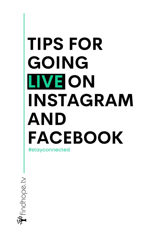# TIPS FOR GOING LIVE ON INSTAGRAM AND FACEBOOK #stayconnected

Findhope.tv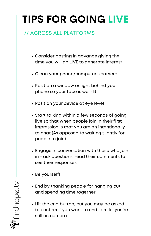### // ACROSS ALL PLATFORMS

- Consider posting in advance giving the time you will go LIVE to generate interest
- Clean your phone/computer's camera
- Position a window or light behind your phone so your face is well-lit
- Position your device at eye level
- Start talking within a few seconds of going live so that when people join in their first impression is that you are on intentionally to chat (As opposed to waiting silently for people to join)
- Engage in conversation with those who join in - ask questions, read their comments to see their responses
- Be yourself!
- End by thanking people for hanging out and spending time together
- Hit the end button, but you may be asked to confirm ifyou want to end - smile! you're still on camera

Findhope.tv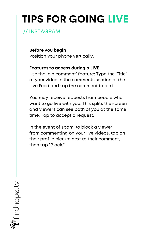### // INSTAGRAM

Before you begin

Position your phone vertically.

#### Features to access during a LIVE

Use the 'pin comment' feature: Type the 'Title' of your video in the comments section of the Live Feed and tap the comment to pin it.

You may receive requests from people who want to go live with you. This splits the screen and viewers can see both of you at the same time. Tap to accept a request.

In the event of spam, to block a viewer from commenting on your live videos, tap on their profile picture next to their comment, then tap "Block."

Findhope.tv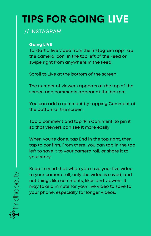### // INSTAGRAM

#### Going LIVE

To start a live video from the Instagram app Tap the camera icon in the top left of the Feed or swipe right from anywhere in the Feed.

Scroll to Live at the bottom of the screen.

The number of viewers appears at the top of the screen and comments appear at the bottom.

You can add a comment by tapping Comment at the bottom of the screen.

Tap a comment and tap 'Pin Comment' to pin it so that viewers can see it more easily.

When you're done, tap End in the top right, then tap to confirm. From there, you can tap in the top left to save it to your camera roll, or share it to your story.

Keep in mind that when you save your live video to your camera roll, only the video is saved, and not things like comments, likes and viewers. It may take a minute for your live video to save to your phone, especially for longer videos.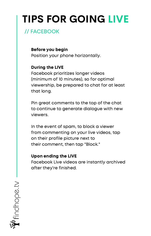### // FACEBOOK

Before you begin Position your phone horizontally.

#### During the LIVE

Facebook prioritizes longer videos (minimum of 10 minutes), so for optimal viewership, be prepared to chat for at least that long.

Pin great comments to the top of the chat to continue to generate dialogue with new viewers.

In the event of spam, to block a viewer from commenting on your live videos, tap on their profile picture next to their comment, then tap "Block."

#### Upon ending the LIVE

Facebook Live videos are instantly archived after they're finished.